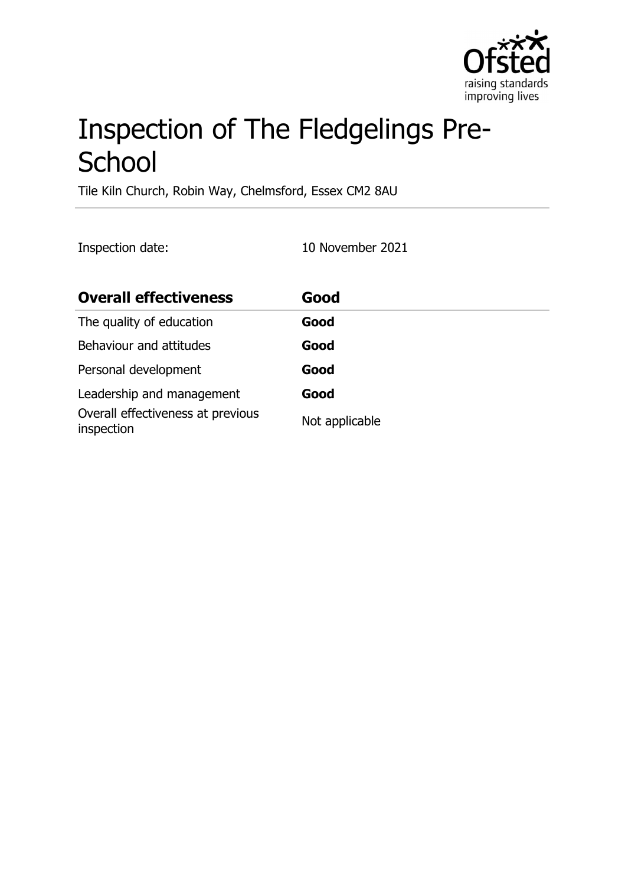

# Inspection of The Fledgelings Pre-**School**

Tile Kiln Church, Robin Way, Chelmsford, Essex CM2 8AU

Inspection date: 10 November 2021

| <b>Overall effectiveness</b>                    | Good           |
|-------------------------------------------------|----------------|
| The quality of education                        | Good           |
| Behaviour and attitudes                         | Good           |
| Personal development                            | Good           |
| Leadership and management                       | Good           |
| Overall effectiveness at previous<br>inspection | Not applicable |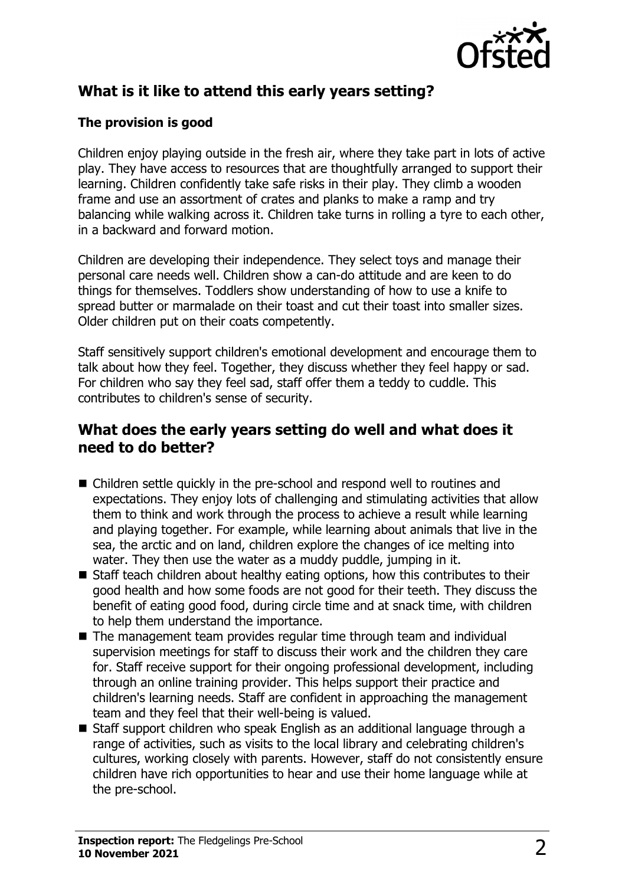

# **What is it like to attend this early years setting?**

#### **The provision is good**

Children enjoy playing outside in the fresh air, where they take part in lots of active play. They have access to resources that are thoughtfully arranged to support their learning. Children confidently take safe risks in their play. They climb a wooden frame and use an assortment of crates and planks to make a ramp and try balancing while walking across it. Children take turns in rolling a tyre to each other, in a backward and forward motion.

Children are developing their independence. They select toys and manage their personal care needs well. Children show a can-do attitude and are keen to do things for themselves. Toddlers show understanding of how to use a knife to spread butter or marmalade on their toast and cut their toast into smaller sizes. Older children put on their coats competently.

Staff sensitively support children's emotional development and encourage them to talk about how they feel. Together, they discuss whether they feel happy or sad. For children who say they feel sad, staff offer them a teddy to cuddle. This contributes to children's sense of security.

### **What does the early years setting do well and what does it need to do better?**

- Children settle quickly in the pre-school and respond well to routines and expectations. They enjoy lots of challenging and stimulating activities that allow them to think and work through the process to achieve a result while learning and playing together. For example, while learning about animals that live in the sea, the arctic and on land, children explore the changes of ice melting into water. They then use the water as a muddy puddle, jumping in it.
- $\blacksquare$  Staff teach children about healthy eating options, how this contributes to their good health and how some foods are not good for their teeth. They discuss the benefit of eating good food, during circle time and at snack time, with children to help them understand the importance.
- $\blacksquare$  The management team provides regular time through team and individual supervision meetings for staff to discuss their work and the children they care for. Staff receive support for their ongoing professional development, including through an online training provider. This helps support their practice and children's learning needs. Staff are confident in approaching the management team and they feel that their well-being is valued.
- Staff support children who speak English as an additional language through a range of activities, such as visits to the local library and celebrating children's cultures, working closely with parents. However, staff do not consistently ensure children have rich opportunities to hear and use their home language while at the pre-school.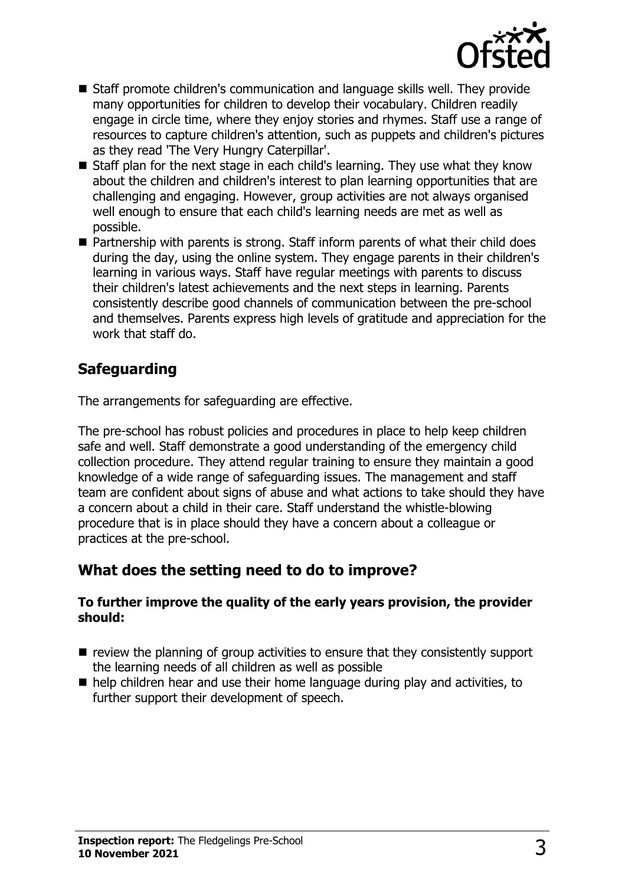

- $\blacksquare$  Staff promote children's communication and language skills well. They provide many opportunities for children to develop their vocabulary. Children readily engage in circle time, where they enjoy stories and rhymes. Staff use a range of resources to capture children's attention, such as puppets and children's pictures as they read 'The Very Hungry Caterpillar'.
- $\blacksquare$  Staff plan for the next stage in each child's learning. They use what they know about the children and children's interest to plan learning opportunities that are challenging and engaging. However, group activities are not always organised well enough to ensure that each child's learning needs are met as well as possible.
- $\blacksquare$  Partnership with parents is strong. Staff inform parents of what their child does during the day, using the online system. They engage parents in their children's learning in various ways. Staff have regular meetings with parents to discuss their children's latest achievements and the next steps in learning. Parents consistently describe good channels of communication between the pre-school and themselves. Parents express high levels of gratitude and appreciation for the work that staff do.

## **Safeguarding**

The arrangements for safeguarding are effective.

The pre-school has robust policies and procedures in place to help keep children safe and well. Staff demonstrate a good understanding of the emergency child collection procedure. They attend regular training to ensure they maintain a good knowledge of a wide range of safeguarding issues. The management and staff team are confident about signs of abuse and what actions to take should they have a concern about a child in their care. Staff understand the whistle-blowing procedure that is in place should they have a concern about a colleague or practices at the pre-school.

### **What does the setting need to do to improve?**

#### **To further improve the quality of the early years provision, the provider should:**

- $\blacksquare$  review the planning of group activities to ensure that they consistently support the learning needs of all children as well as possible
- $\blacksquare$  help children hear and use their home language during play and activities, to further support their development of speech.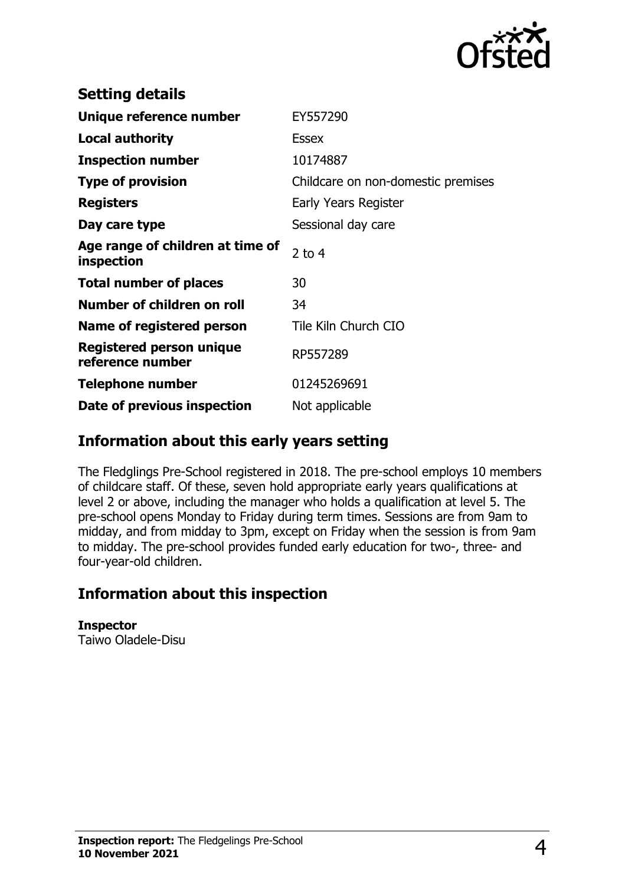

| <b>Setting details</b>                         |                                    |
|------------------------------------------------|------------------------------------|
| Unique reference number                        | EY557290                           |
| <b>Local authority</b>                         | <b>Essex</b>                       |
| <b>Inspection number</b>                       | 10174887                           |
| <b>Type of provision</b>                       | Childcare on non-domestic premises |
| <b>Registers</b>                               | Early Years Register               |
| Day care type                                  | Sessional day care                 |
| Age range of children at time of<br>inspection | $2$ to 4                           |
| <b>Total number of places</b>                  | 30                                 |
| Number of children on roll                     | 34                                 |
| Name of registered person                      | Tile Kiln Church CIO               |
| Registered person unique<br>reference number   | RP557289                           |
| <b>Telephone number</b>                        | 01245269691                        |
| Date of previous inspection                    | Not applicable                     |

### **Information about this early years setting**

The Fledglings Pre-School registered in 2018. The pre-school employs 10 members of childcare staff. Of these, seven hold appropriate early years qualifications at level 2 or above, including the manager who holds a qualification at level 5. The pre-school opens Monday to Friday during term times. Sessions are from 9am to midday, and from midday to 3pm, except on Friday when the session is from 9am to midday. The pre-school provides funded early education for two-, three- and four-year-old children.

### **Information about this inspection**

**Inspector** Taiwo Oladele-Disu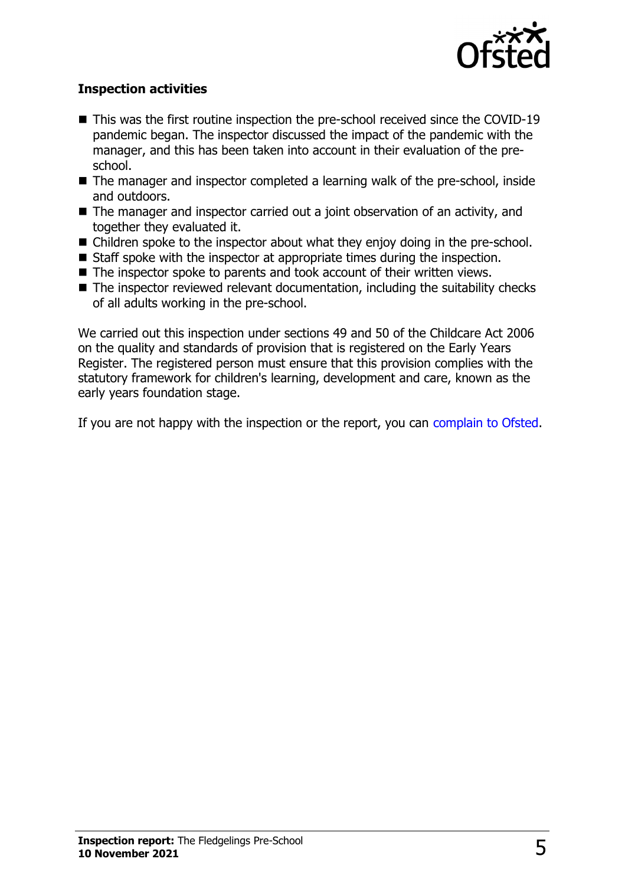

#### **Inspection activities**

- $\blacksquare$  This was the first routine inspection the pre-school received since the COVID-19 pandemic began. The inspector discussed the impact of the pandemic with the manager, and this has been taken into account in their evaluation of the preschool.
- $\blacksquare$  The manager and inspector completed a learning walk of the pre-school, inside and outdoors.
- $\blacksquare$  The manager and inspector carried out a joint observation of an activity, and together they evaluated it.
- $\blacksquare$  Children spoke to the inspector about what they enjoy doing in the pre-school.
- Staff spoke with the inspector at appropriate times during the inspection.
- $\blacksquare$  The inspector spoke to parents and took account of their written views.
- $\blacksquare$  The inspector reviewed relevant documentation, including the suitability checks of all adults working in the pre-school.

We carried out this inspection under sections 49 and 50 of the Childcare Act 2006 on the quality and standards of provision that is registered on the Early Years Register. The registered person must ensure that this provision complies with the statutory framework for children's learning, development and care, known as the early years foundation stage.

If you are not happy with the inspection or the report, you can [complain to Ofsted](http://www.gov.uk/complain-ofsted-report).